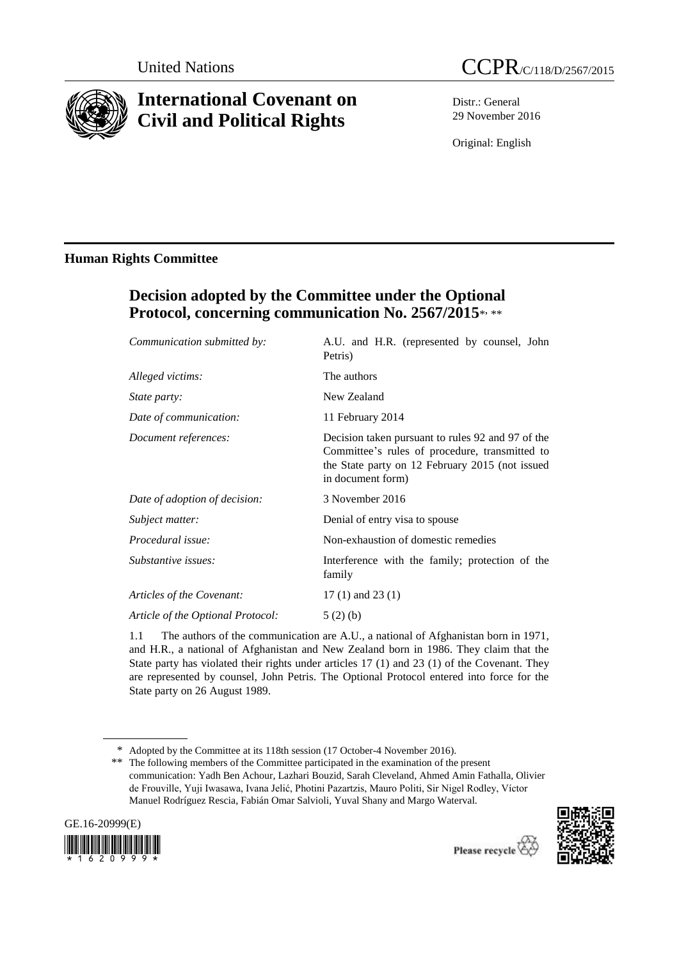

# **International Covenant on Civil and Political Rights**



Distr.: General 29 November 2016

Original: English

## **Human Rights Committee**

# **Decision adopted by the Committee under the Optional**  Protocol, concerning communication No. 2567/2015\*, \*\*

| Communication submitted by:       | A.U. and H.R. (represented by counsel, John<br>Petris)                                                                                                                      |
|-----------------------------------|-----------------------------------------------------------------------------------------------------------------------------------------------------------------------------|
| Alleged victims:                  | The authors                                                                                                                                                                 |
| <i>State party:</i>               | New Zealand                                                                                                                                                                 |
| Date of communication:            | 11 February 2014                                                                                                                                                            |
| Document references:              | Decision taken pursuant to rules 92 and 97 of the<br>Committee's rules of procedure, transmitted to<br>the State party on 12 February 2015 (not issued<br>in document form) |
| Date of adoption of decision:     | 3 November 2016                                                                                                                                                             |
| Subject matter:                   | Denial of entry visa to spouse                                                                                                                                              |
| Procedural issue:                 | Non-exhaustion of domestic remedies                                                                                                                                         |
| Substantive issues:               | Interference with the family; protection of the<br>family                                                                                                                   |
| Articles of the Covenant:         | 17 $(1)$ and 23 $(1)$                                                                                                                                                       |
| Article of the Optional Protocol: | 5(2)(b)                                                                                                                                                                     |

1.1 The authors of the communication are A.U., a national of Afghanistan born in 1971, and H.R., a national of Afghanistan and New Zealand born in 1986. They claim that the State party has violated their rights under articles 17 (1) and 23 (1) of the Covenant. They are represented by counsel, John Petris. The Optional Protocol entered into force for the State party on 26 August 1989.

\* Adopted by the Committee at its 118th session (17 October-4 November 2016).

\*\* The following members of the Committee participated in the examination of the present communication: Yadh Ben Achour, Lazhari Bouzid, Sarah Cleveland, Ahmed Amin Fathalla, Olivier de Frouville, Yuji Iwasawa, Ivana Jelić, Photini Pazartzis, Mauro Politi, Sir Nigel Rodley, Víctor Manuel Rodríguez Rescia, Fabián Omar Salvioli, Yuval Shany and Margo Waterval.



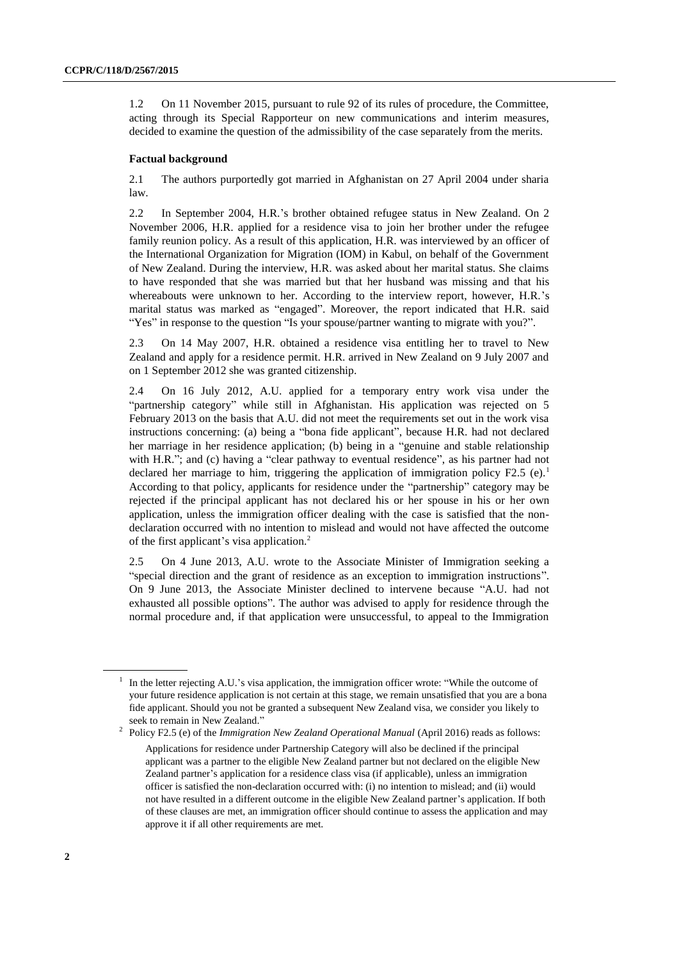1.2 On 11 November 2015, pursuant to rule 92 of its rules of procedure, the Committee, acting through its Special Rapporteur on new communications and interim measures, decided to examine the question of the admissibility of the case separately from the merits.

### **Factual background**

2.1 The authors purportedly got married in Afghanistan on 27 April 2004 under sharia law.

2.2 In September 2004, H.R.'s brother obtained refugee status in New Zealand. On 2 November 2006, H.R. applied for a residence visa to join her brother under the refugee family reunion policy. As a result of this application, H.R. was interviewed by an officer of the International Organization for Migration (IOM) in Kabul, on behalf of the Government of New Zealand. During the interview, H.R. was asked about her marital status. She claims to have responded that she was married but that her husband was missing and that his whereabouts were unknown to her. According to the interview report, however, H.R.'s marital status was marked as "engaged". Moreover, the report indicated that H.R. said "Yes" in response to the question "Is your spouse/partner wanting to migrate with you?".

2.3 On 14 May 2007, H.R. obtained a residence visa entitling her to travel to New Zealand and apply for a residence permit. H.R. arrived in New Zealand on 9 July 2007 and on 1 September 2012 she was granted citizenship.

2.4 On 16 July 2012, A.U. applied for a temporary entry work visa under the "partnership category" while still in Afghanistan. His application was rejected on 5 February 2013 on the basis that A.U. did not meet the requirements set out in the work visa instructions concerning: (a) being a "bona fide applicant", because H.R. had not declared her marriage in her residence application; (b) being in a "genuine and stable relationship with H.R."; and (c) having a "clear pathway to eventual residence", as his partner had not declared her marriage to him, triggering the application of immigration policy  $F2.5$  (e).<sup>1</sup> According to that policy, applicants for residence under the "partnership" category may be rejected if the principal applicant has not declared his or her spouse in his or her own application, unless the immigration officer dealing with the case is satisfied that the nondeclaration occurred with no intention to mislead and would not have affected the outcome of the first applicant's visa application.<sup>2</sup>

2.5 On 4 June 2013, A.U. wrote to the Associate Minister of Immigration seeking a "special direction and the grant of residence as an exception to immigration instructions". On 9 June 2013, the Associate Minister declined to intervene because "A.U. had not exhausted all possible options". The author was advised to apply for residence through the normal procedure and, if that application were unsuccessful, to appeal to the Immigration

<sup>&</sup>lt;sup>1</sup> In the letter rejecting A.U.'s visa application, the immigration officer wrote: "While the outcome of your future residence application is not certain at this stage, we remain unsatisfied that you are a bona fide applicant. Should you not be granted a subsequent New Zealand visa, we consider you likely to seek to remain in New Zealand."

<sup>&</sup>lt;sup>2</sup> Policy F2.5 (e) of the *Immigration New Zealand Operational Manual* (April 2016) reads as follows: Applications for residence under Partnership Category will also be declined if the principal applicant was a partner to the eligible New Zealand partner but not declared on the eligible New Zealand partner's application for a residence class visa (if applicable), unless an immigration officer is satisfied the non-declaration occurred with: (i) no intention to mislead; and (ii) would not have resulted in a different outcome in the eligible New Zealand partner's application. If both of these clauses are met, an immigration officer should continue to assess the application and may approve it if all other requirements are met.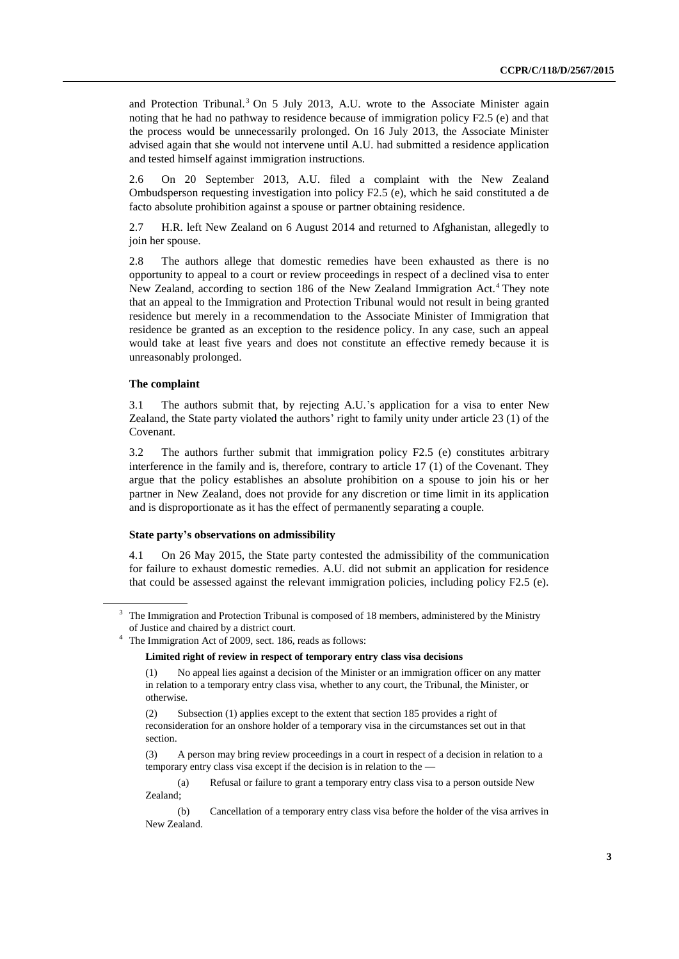and Protection Tribunal.<sup>3</sup> On 5 July 2013, A.U. wrote to the Associate Minister again noting that he had no pathway to residence because of immigration policy F2.5 (e) and that the process would be unnecessarily prolonged. On 16 July 2013, the Associate Minister advised again that she would not intervene until A.U. had submitted a residence application and tested himself against immigration instructions.

2.6 On 20 September 2013, A.U. filed a complaint with the New Zealand Ombudsperson requesting investigation into policy F2.5 (e), which he said constituted a de facto absolute prohibition against a spouse or partner obtaining residence.

2.7 H.R. left New Zealand on 6 August 2014 and returned to Afghanistan, allegedly to join her spouse.

2.8 The authors allege that domestic remedies have been exhausted as there is no opportunity to appeal to a court or review proceedings in respect of a declined visa to enter New Zealand, according to section 186 of the New Zealand Immigration Act.<sup>4</sup> They note that an appeal to the Immigration and Protection Tribunal would not result in being granted residence but merely in a recommendation to the Associate Minister of Immigration that residence be granted as an exception to the residence policy. In any case, such an appeal would take at least five years and does not constitute an effective remedy because it is unreasonably prolonged.

### **The complaint**

3.1 The authors submit that, by rejecting A.U.'s application for a visa to enter New Zealand, the State party violated the authors' right to family unity under article 23 (1) of the Covenant.

3.2 The authors further submit that immigration policy F2.5 (e) constitutes arbitrary interference in the family and is, therefore, contrary to article 17 (1) of the Covenant. They argue that the policy establishes an absolute prohibition on a spouse to join his or her partner in New Zealand, does not provide for any discretion or time limit in its application and is disproportionate as it has the effect of permanently separating a couple.

#### **State party's observations on admissibility**

4.1 On 26 May 2015, the State party contested the admissibility of the communication for failure to exhaust domestic remedies. A.U. did not submit an application for residence that could be assessed against the relevant immigration policies, including policy F2.5 (e).

(a) Refusal or failure to grant a temporary entry class visa to a person outside New Zealand;

<sup>3</sup> The Immigration and Protection Tribunal is composed of 18 members, administered by the Ministry of Justice and chaired by a district court.

<sup>4</sup> The Immigration Act of 2009, sect. 186, reads as follows:

**Limited right of review in respect of temporary entry class visa decisions**

<sup>(1)</sup> No appeal lies against a decision of the Minister or an immigration officer on any matter in relation to a temporary entry class visa, whether to any court, the Tribunal, the Minister, or otherwise.

<sup>(2)</sup> Subsection (1) applies except to the extent tha[t section 185](http://www.legislation.govt.nz/act/public/2009/0051/latest/whole.html#DLM1440890) provides a right of reconsideration for an onshore holder of a temporary visa in the circumstances set out in that section.

<sup>(3)</sup> A person may bring review proceedings in a court in respect of a decision in relation to a temporary entry class visa except if the decision is in relation to the -

<sup>(</sup>b) Cancellation of a temporary entry class visa before the holder of the visa arrives in New Zealand.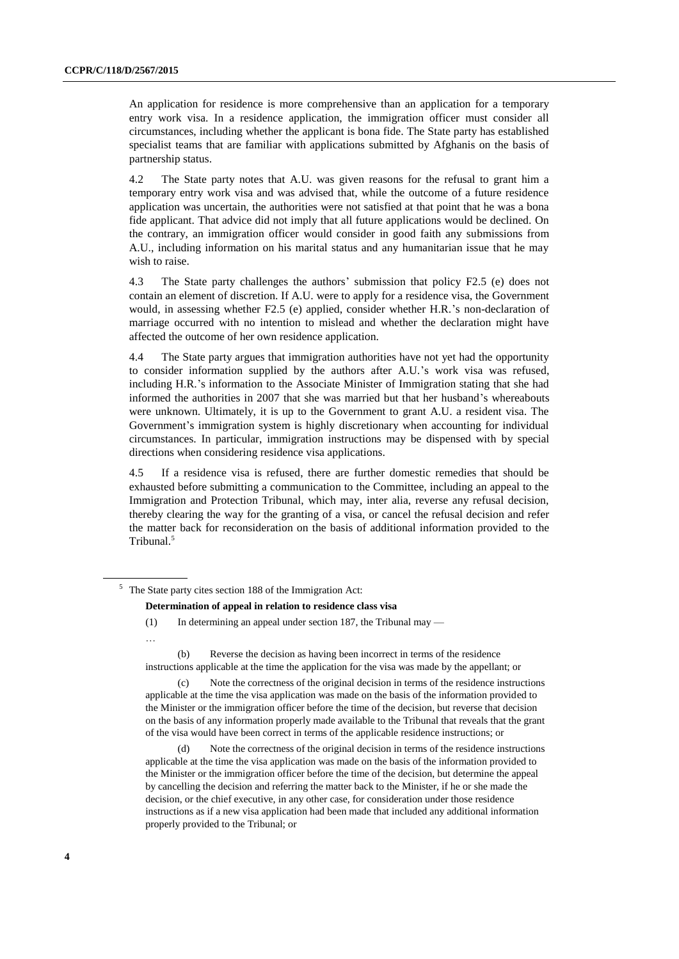An application for residence is more comprehensive than an application for a temporary entry work visa. In a residence application, the immigration officer must consider all circumstances, including whether the applicant is bona fide. The State party has established specialist teams that are familiar with applications submitted by Afghanis on the basis of partnership status.

4.2 The State party notes that A.U. was given reasons for the refusal to grant him a temporary entry work visa and was advised that, while the outcome of a future residence application was uncertain, the authorities were not satisfied at that point that he was a bona fide applicant. That advice did not imply that all future applications would be declined. On the contrary, an immigration officer would consider in good faith any submissions from A.U., including information on his marital status and any humanitarian issue that he may wish to raise.

4.3 The State party challenges the authors' submission that policy F2.5 (e) does not contain an element of discretion. If A.U. were to apply for a residence visa, the Government would, in assessing whether F2.5 (e) applied, consider whether H.R.'s non-declaration of marriage occurred with no intention to mislead and whether the declaration might have affected the outcome of her own residence application.

4.4 The State party argues that immigration authorities have not yet had the opportunity to consider information supplied by the authors after A.U.'s work visa was refused, including H.R.'s information to the Associate Minister of Immigration stating that she had informed the authorities in 2007 that she was married but that her husband's whereabouts were unknown. Ultimately, it is up to the Government to grant A.U. a resident visa. The Government's immigration system is highly discretionary when accounting for individual circumstances. In particular, immigration instructions may be dispensed with by special directions when considering residence visa applications.

4.5 If a residence visa is refused, there are further domestic remedies that should be exhausted before submitting a communication to the Committee, including an appeal to the Immigration and Protection Tribunal, which may, inter alia, reverse any refusal decision, thereby clearing the way for the granting of a visa, or cancel the refusal decision and refer the matter back for reconsideration on the basis of additional information provided to the Tribunal.<sup>5</sup>

#### **Determination of appeal in relation to residence class visa**

…

(b) Reverse the decision as having been incorrect in terms of the residence instructions applicable at the time the application for the visa was made by the appellant; or

(c) Note the correctness of the original decision in terms of the residence instructions applicable at the time the visa application was made on the basis of the information provided to the Minister or the immigration officer before the time of the decision, but reverse that decision on the basis of any information properly made available to the Tribunal that reveals that the grant of the visa would have been correct in terms of the applicable residence instructions; or

(d) Note the correctness of the original decision in terms of the residence instructions applicable at the time the visa application was made on the basis of the information provided to the Minister or the immigration officer before the time of the decision, but determine the appeal by cancelling the decision and referring the matter back to the Minister, if he or she made the decision, or the chief executive, in any other case, for consideration under those residence instructions as if a new visa application had been made that included any additional information properly provided to the Tribunal; or

<sup>5</sup> The State party cites section 188 of the Immigration Act:

<sup>(1)</sup> In determining an appeal under [section 187,](http://www.legislation.govt.nz/act/public/2009/0051/latest/link.aspx?id=DLM1440895#DLM1440895) the Tribunal may —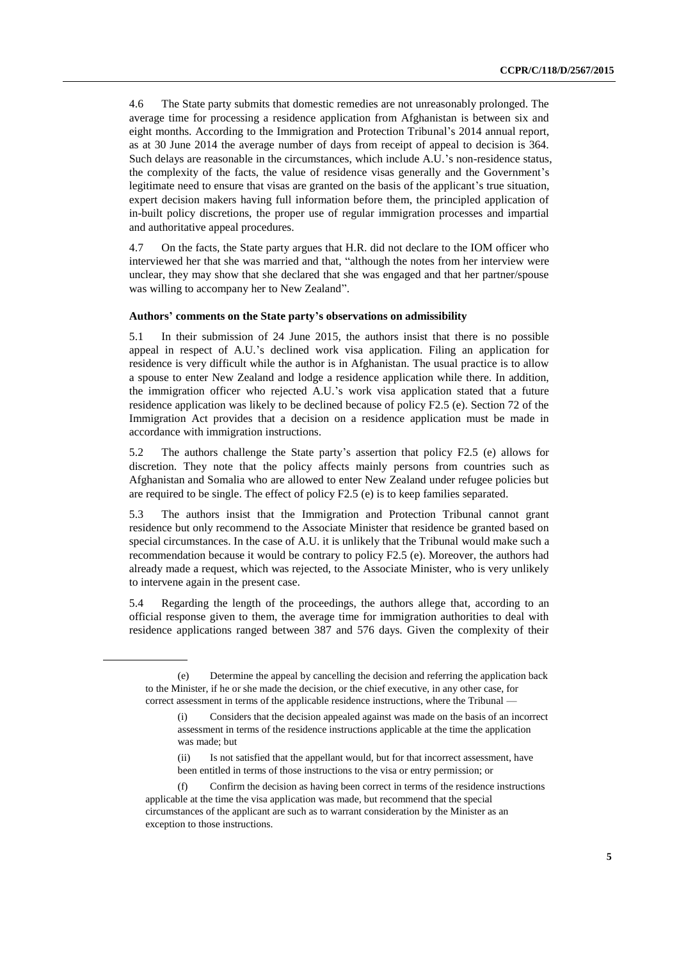4.6 The State party submits that domestic remedies are not unreasonably prolonged. The average time for processing a residence application from Afghanistan is between six and eight months. According to the Immigration and Protection Tribunal's 2014 annual report, as at 30 June 2014 the average number of days from receipt of appeal to decision is 364. Such delays are reasonable in the circumstances, which include A.U.'s non-residence status, the complexity of the facts, the value of residence visas generally and the Government's legitimate need to ensure that visas are granted on the basis of the applicant's true situation, expert decision makers having full information before them, the principled application of in-built policy discretions, the proper use of regular immigration processes and impartial and authoritative appeal procedures.

4.7 On the facts, the State party argues that H.R. did not declare to the IOM officer who interviewed her that she was married and that, "although the notes from her interview were unclear, they may show that she declared that she was engaged and that her partner/spouse was willing to accompany her to New Zealand".

#### **Authors' comments on the State party's observations on admissibility**

5.1 In their submission of 24 June 2015, the authors insist that there is no possible appeal in respect of A.U.'s declined work visa application. Filing an application for residence is very difficult while the author is in Afghanistan. The usual practice is to allow a spouse to enter New Zealand and lodge a residence application while there. In addition, the immigration officer who rejected A.U.'s work visa application stated that a future residence application was likely to be declined because of policy F2.5 (e). Section 72 of the Immigration Act provides that a decision on a residence application must be made in accordance with immigration instructions.

5.2 The authors challenge the State party's assertion that policy F2.5 (e) allows for discretion. They note that the policy affects mainly persons from countries such as Afghanistan and Somalia who are allowed to enter New Zealand under refugee policies but are required to be single. The effect of policy F2.5 (e) is to keep families separated.

5.3 The authors insist that the Immigration and Protection Tribunal cannot grant residence but only recommend to the Associate Minister that residence be granted based on special circumstances. In the case of A.U. it is unlikely that the Tribunal would make such a recommendation because it would be contrary to policy F2.5 (e). Moreover, the authors had already made a request, which was rejected, to the Associate Minister, who is very unlikely to intervene again in the present case.

5.4 Regarding the length of the proceedings, the authors allege that, according to an official response given to them, the average time for immigration authorities to deal with residence applications ranged between 387 and 576 days. Given the complexity of their

<sup>(</sup>e) Determine the appeal by cancelling the decision and referring the application back to the Minister, if he or she made the decision, or the chief executive, in any other case, for correct assessment in terms of the applicable residence instructions, where the Tribunal -

<sup>(</sup>i) Considers that the decision appealed against was made on the basis of an incorrect assessment in terms of the residence instructions applicable at the time the application was made; but

<sup>(</sup>ii) Is not satisfied that the appellant would, but for that incorrect assessment, have been entitled in terms of those instructions to the visa or entry permission; or

<sup>(</sup>f) Confirm the decision as having been correct in terms of the residence instructions applicable at the time the visa application was made, but recommend that the special circumstances of the applicant are such as to warrant consideration by the Minister as an exception to those instructions.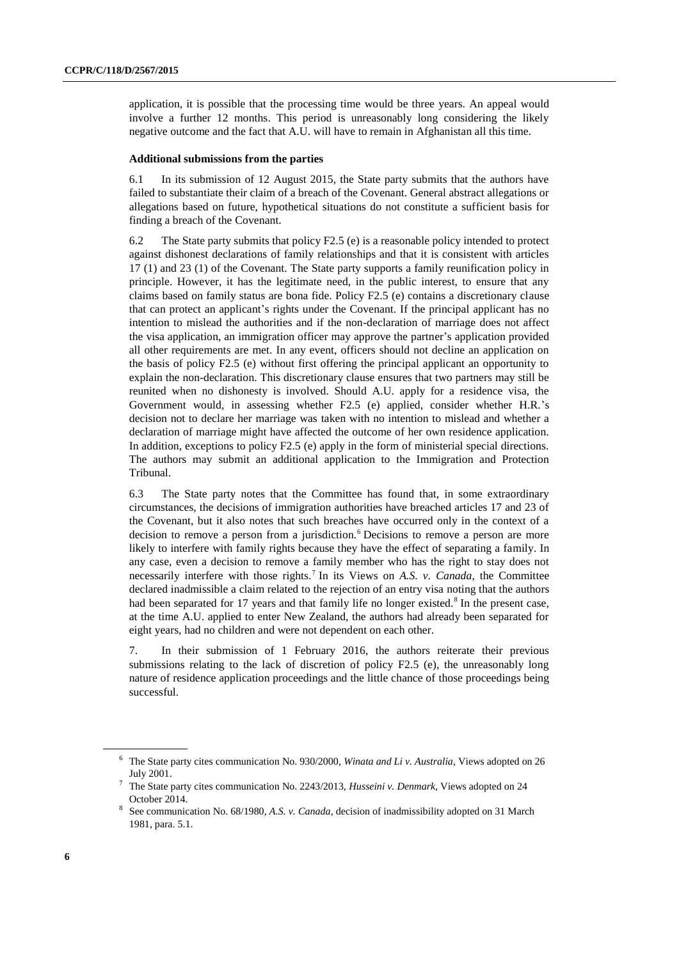application, it is possible that the processing time would be three years. An appeal would involve a further 12 months. This period is unreasonably long considering the likely negative outcome and the fact that A.U. will have to remain in Afghanistan all this time.

#### **Additional submissions from the parties**

6.1 In its submission of 12 August 2015, the State party submits that the authors have failed to substantiate their claim of a breach of the Covenant. General abstract allegations or allegations based on future, hypothetical situations do not constitute a sufficient basis for finding a breach of the Covenant.

6.2 The State party submits that policy F2.5 (e) is a reasonable policy intended to protect against dishonest declarations of family relationships and that it is consistent with articles 17 (1) and 23 (1) of the Covenant. The State party supports a family reunification policy in principle. However, it has the legitimate need, in the public interest, to ensure that any claims based on family status are bona fide. Policy F2.5 (e) contains a discretionary clause that can protect an applicant's rights under the Covenant. If the principal applicant has no intention to mislead the authorities and if the non-declaration of marriage does not affect the visa application, an immigration officer may approve the partner's application provided all other requirements are met. In any event, officers should not decline an application on the basis of policy F2.5 (e) without first offering the principal applicant an opportunity to explain the non-declaration. This discretionary clause ensures that two partners may still be reunited when no dishonesty is involved. Should A.U. apply for a residence visa, the Government would, in assessing whether F2.5 (e) applied, consider whether H.R.'s decision not to declare her marriage was taken with no intention to mislead and whether a declaration of marriage might have affected the outcome of her own residence application. In addition, exceptions to policy F2.5 (e) apply in the form of ministerial special directions. The authors may submit an additional application to the Immigration and Protection Tribunal.

6.3 The State party notes that the Committee has found that, in some extraordinary circumstances, the decisions of immigration authorities have breached articles 17 and 23 of the Covenant, but it also notes that such breaches have occurred only in the context of a decision to remove a person from a jurisdiction.<sup>6</sup> Decisions to remove a person are more likely to interfere with family rights because they have the effect of separating a family. In any case, even a decision to remove a family member who has the right to stay does not necessarily interfere with those rights.<sup>7</sup> In its Views on A.S. v. Canada, the Committee declared inadmissible a claim related to the rejection of an entry visa noting that the authors had been separated for 17 years and that family life no longer existed.<sup>8</sup> In the present case, at the time A.U. applied to enter New Zealand, the authors had already been separated for eight years, had no children and were not dependent on each other.

7. In their submission of 1 February 2016, the authors reiterate their previous submissions relating to the lack of discretion of policy F2.5 (e), the unreasonably long nature of residence application proceedings and the little chance of those proceedings being successful.

<sup>6</sup> The State party cites communication No. 930/2000, *Winata and Li v. Australia*, Views adopted on 26 July 2001.

<sup>7</sup> The State party cites communication No. 2243/2013, *Husseini v. Denmark*, Views adopted on 24 October 2014.

<sup>8</sup> See communication No. 68/1980, *A.S. v. Canada*, decision of inadmissibility adopted on 31 March 1981, para. 5.1.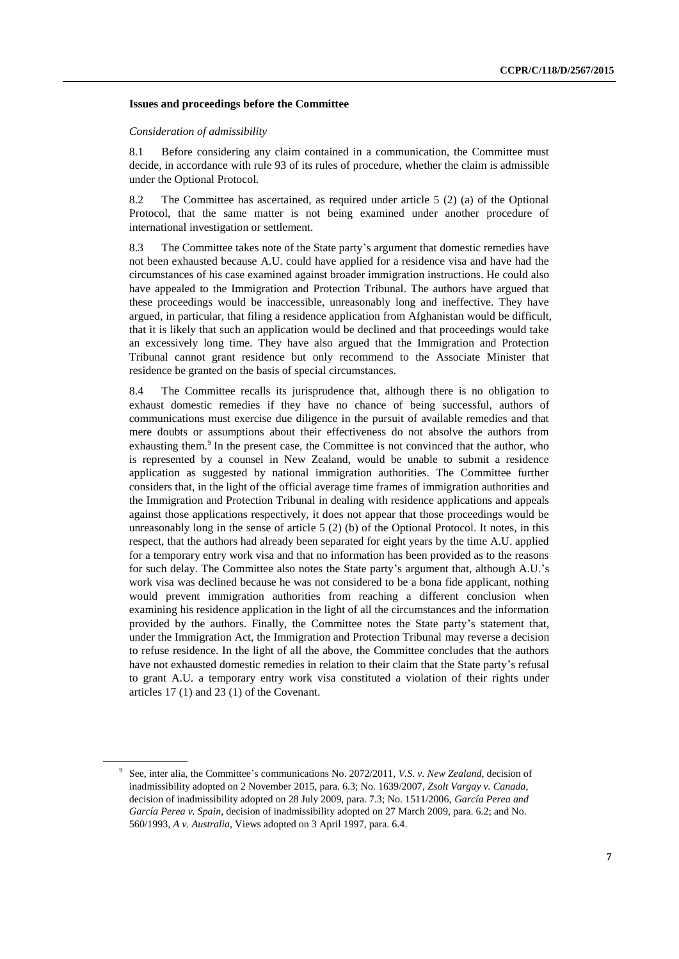#### **Issues and proceedings before the Committee**

#### *Consideration of admissibility*

8.1 Before considering any claim contained in a communication, the Committee must decide, in accordance with rule 93 of its rules of procedure, whether the claim is admissible under the Optional Protocol.

8.2 The Committee has ascertained, as required under article 5 (2) (a) of the Optional Protocol, that the same matter is not being examined under another procedure of international investigation or settlement.

8.3 The Committee takes note of the State party's argument that domestic remedies have not been exhausted because A.U. could have applied for a residence visa and have had the circumstances of his case examined against broader immigration instructions. He could also have appealed to the Immigration and Protection Tribunal. The authors have argued that these proceedings would be inaccessible, unreasonably long and ineffective. They have argued, in particular, that filing a residence application from Afghanistan would be difficult, that it is likely that such an application would be declined and that proceedings would take an excessively long time. They have also argued that the Immigration and Protection Tribunal cannot grant residence but only recommend to the Associate Minister that residence be granted on the basis of special circumstances.

8.4 The Committee recalls its jurisprudence that, although there is no obligation to exhaust domestic remedies if they have no chance of being successful, authors of communications must exercise due diligence in the pursuit of available remedies and that mere doubts or assumptions about their effectiveness do not absolve the authors from exhausting them.<sup>9</sup> In the present case, the Committee is not convinced that the author, who is represented by a counsel in New Zealand, would be unable to submit a residence application as suggested by national immigration authorities. The Committee further considers that, in the light of the official average time frames of immigration authorities and the Immigration and Protection Tribunal in dealing with residence applications and appeals against those applications respectively, it does not appear that those proceedings would be unreasonably long in the sense of article 5 (2) (b) of the Optional Protocol. It notes, in this respect, that the authors had already been separated for eight years by the time A.U. applied for a temporary entry work visa and that no information has been provided as to the reasons for such delay. The Committee also notes the State party's argument that, although A.U.'s work visa was declined because he was not considered to be a bona fide applicant, nothing would prevent immigration authorities from reaching a different conclusion when examining his residence application in the light of all the circumstances and the information provided by the authors. Finally, the Committee notes the State party's statement that, under the Immigration Act, the Immigration and Protection Tribunal may reverse a decision to refuse residence. In the light of all the above, the Committee concludes that the authors have not exhausted domestic remedies in relation to their claim that the State party's refusal to grant A.U. a temporary entry work visa constituted a violation of their rights under articles 17 (1) and 23 (1) of the Covenant.

<sup>9</sup> See, inter alia, the Committee's communications No. 2072/2011, *V.S. v. New Zealand*, decision of inadmissibility adopted on 2 November 2015, para. 6.3; No. 1639/2007, *Zsolt Vargay v. Canada*, decision of inadmissibility adopted on 28 July 2009, para. 7.3; No. 1511/2006, *García Perea and García Perea v. Spain*, decision of inadmissibility adopted on 27 March 2009, para. 6.2; and No. 560/1993, *A v. Australia*, Views adopted on 3 April 1997, para. 6.4.